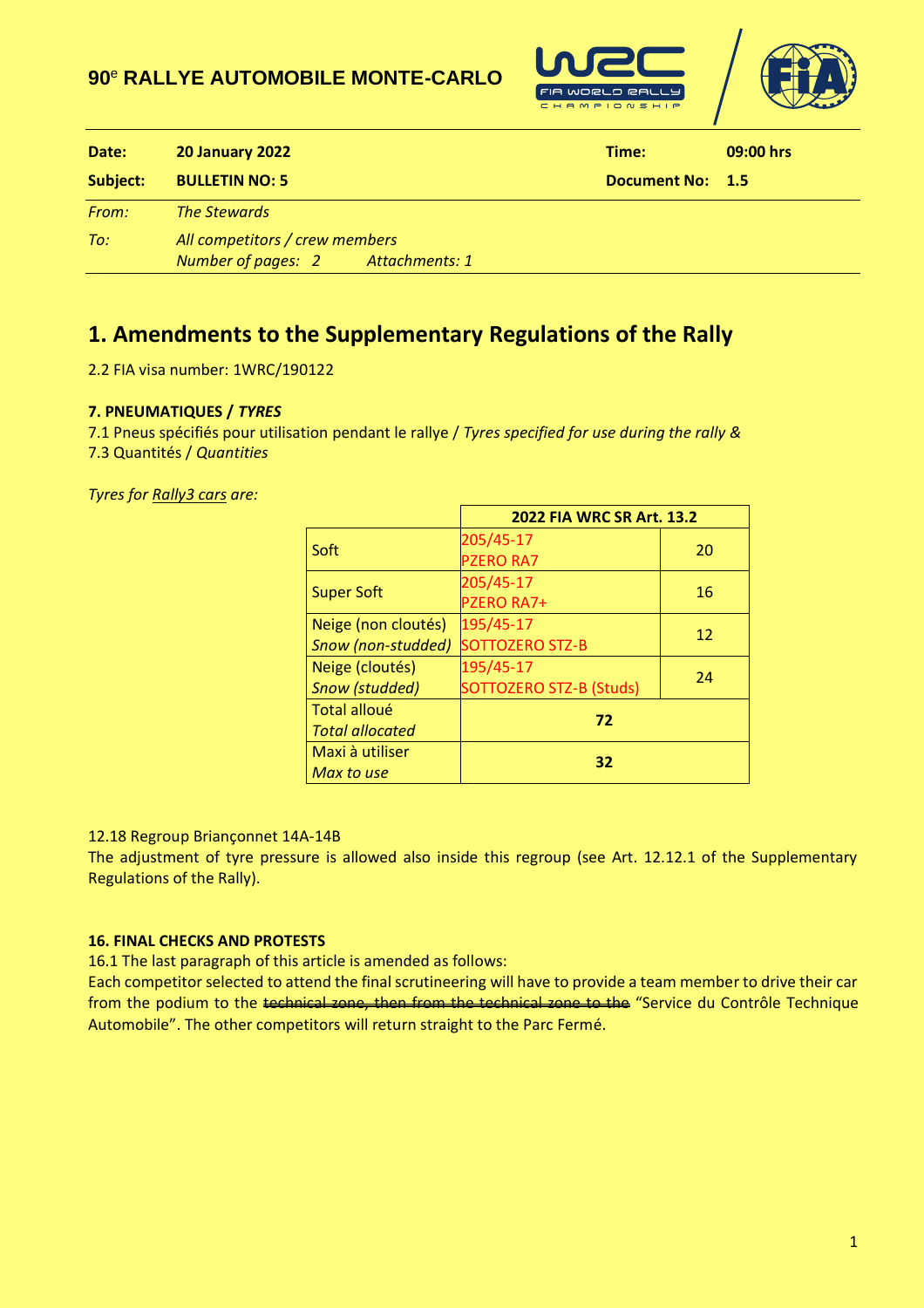## **90** <sup>e</sup> **RALLYE AUTOMOBILE MONTE-CARLO**





| Date:    | <b>20 January 2022</b>                                              | Time:               | 09:00 hrs |
|----------|---------------------------------------------------------------------|---------------------|-----------|
| Subject: | <b>BULLETIN NO: 5</b>                                               | <b>Document No:</b> | $-1.5$    |
| From:    | <b>The Stewards</b>                                                 |                     |           |
| To:      | All competitors / crew members<br>Number of pages: 2 Attachments: 1 |                     |           |

# **1. Amendments to the Supplementary Regulations of the Rally**

2.2 FIA visa number: 1WRC/190122

## **7. PNEUMATIQUES /** *TYRES*

7.1 Pneus spécifiés pour utilisation pendant le rallye / *Tyres specified for use during the rally &* 7.3 Quantités / *Quantities* 

*Tyres for Rally3 cars are:*

|                        | 2022 FIA WRC SR Art. 13.2 |    |  |
|------------------------|---------------------------|----|--|
| Soft                   | 205/45-17                 |    |  |
|                        | <b>PZERO RA7</b>          | 20 |  |
|                        | 205/45-17                 | 16 |  |
| <b>Super Soft</b>      | <b>PZERO RA7+</b>         |    |  |
| Neige (non cloutés)    | 195/45-17                 | 12 |  |
| Snow (non-studded)     | <b>SOTTOZERO STZ-B</b>    |    |  |
| Neige (cloutés)        | 195/45-17                 | 24 |  |
| <b>Snow (studded)</b>  | SOTTOZERO STZ-B (Studs)   |    |  |
| Total alloué           | 72                        |    |  |
| <b>Total allocated</b> |                           |    |  |
| Maxi à utiliser        | 32                        |    |  |
| Max to use             |                           |    |  |

#### 12.18 Regroup Briançonnet 14A-14B

The adjustment of tyre pressure is allowed also inside this regroup (see Art. 12.12.1 of the Supplementary Regulations of the Rally).

#### **16. FINAL CHECKS AND PROTESTS**

16.1 The last paragraph of this article is amended as follows:

Each competitor selected to attend the final scrutineering will have to provide a team member to drive their car from the podium to the technical zone, then from the technical zone to the "Service du Contrôle Technique Automobile". The other competitors will return straight to the Parc Fermé.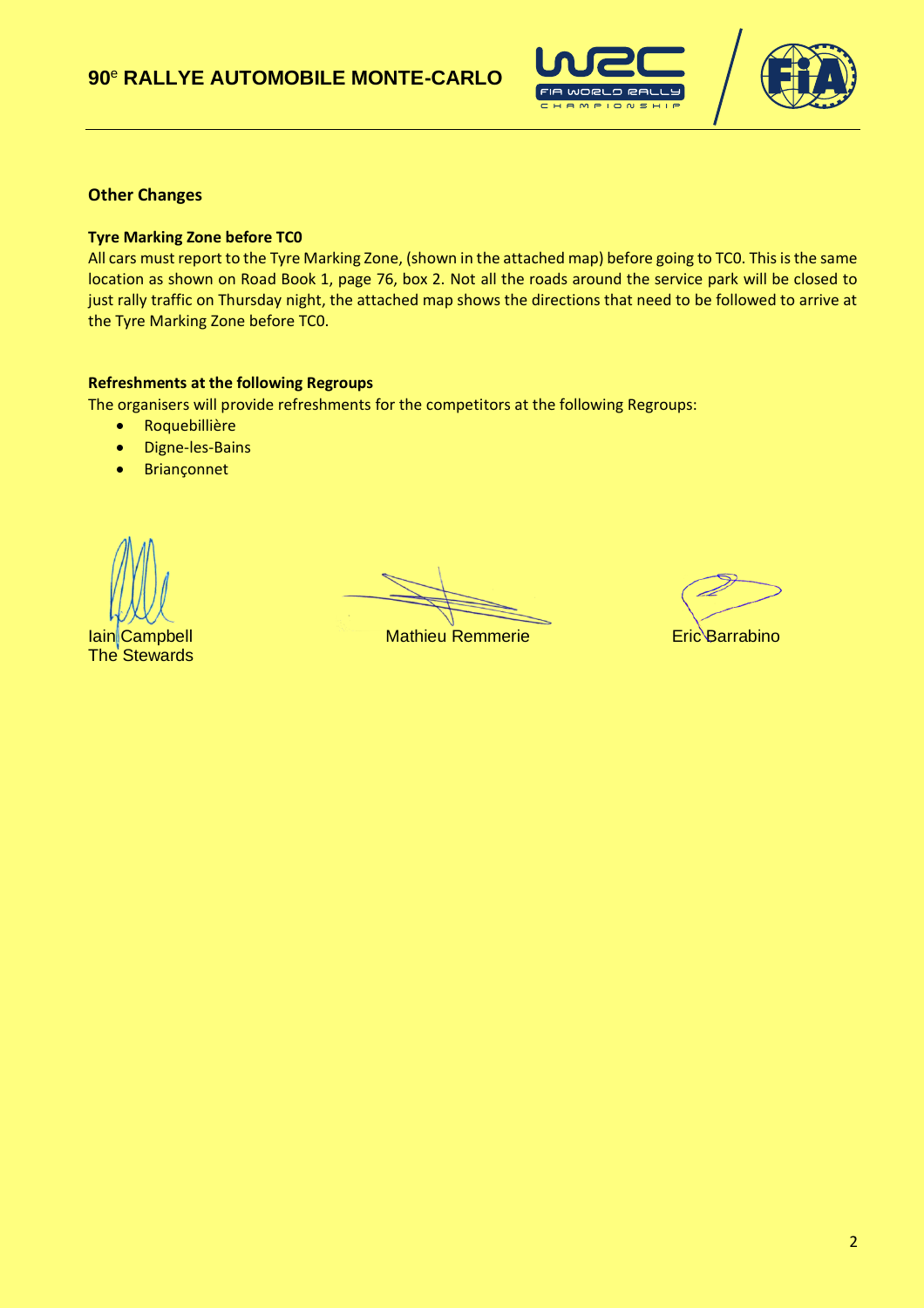



## **Other Changes**

#### **Tyre Marking Zone before TC0**

All cars must report to the Tyre Marking Zone, (shown in the attached map) before going to TC0. This is the same location as shown on Road Book 1, page 76, box 2. Not all the roads around the service park will be closed to just rally traffic on Thursday night, the attached map shows the directions that need to be followed to arrive at the Tyre Marking Zone before TC0.

#### **Refreshments at the following Regroups**

The organisers will provide refreshments for the competitors at the following Regroups:

- Roquebillière
- Digne-les-Bains
- Briançonnet

**The Stewards** 

**Iain Campbell Mathieu Remmerie Eric Barrabino**